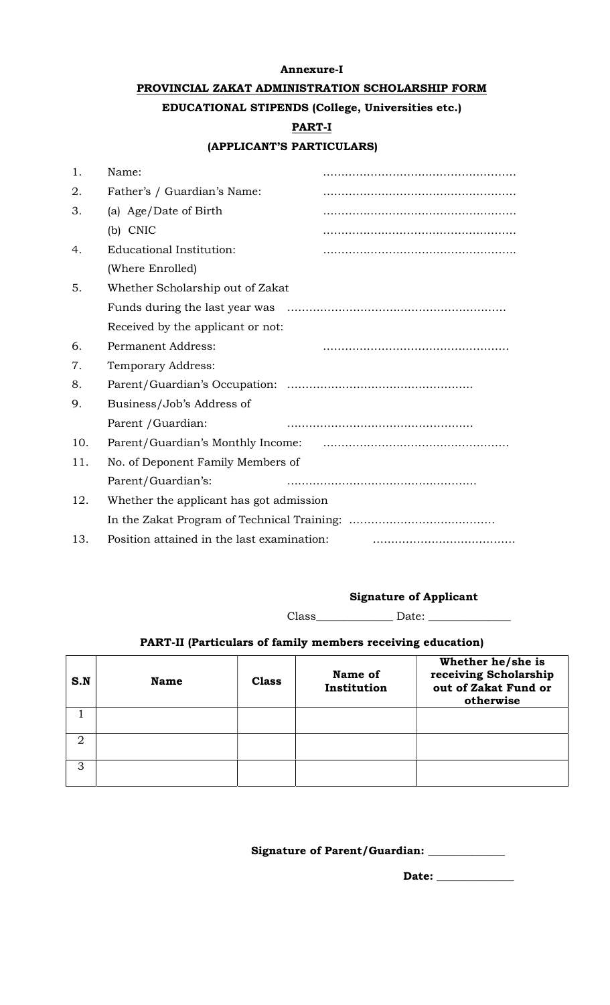#### Annexure-I

## PROVINCIAL ZAKAT ADMINISTRATION SCHOLARSHIP FORM EDUCATIONAL STIPENDS (College, Universities etc.)

### PART-I

### (APPLICANT'S PARTICULARS)

| 1.  | Name:                                      |  |  |  |  |
|-----|--------------------------------------------|--|--|--|--|
| 2.  | Father's / Guardian's Name:                |  |  |  |  |
| 3.  | (a) Age/Date of Birth                      |  |  |  |  |
|     | (b) CNIC                                   |  |  |  |  |
| 4.  | Educational Institution:                   |  |  |  |  |
|     | (Where Enrolled)                           |  |  |  |  |
| 5.  | Whether Scholarship out of Zakat           |  |  |  |  |
|     |                                            |  |  |  |  |
|     | Received by the applicant or not:          |  |  |  |  |
| 6.  | Permanent Address:                         |  |  |  |  |
| 7.  | Temporary Address:                         |  |  |  |  |
| 8.  |                                            |  |  |  |  |
| 9.  | Business/Job's Address of                  |  |  |  |  |
|     | Parent / Guardian:                         |  |  |  |  |
| 10. |                                            |  |  |  |  |
| 11. | No. of Deponent Family Members of          |  |  |  |  |
|     | Parent/Guardian's:                         |  |  |  |  |
| 12. | Whether the applicant has got admission    |  |  |  |  |
|     |                                            |  |  |  |  |
| 13. | Position attained in the last examination: |  |  |  |  |

Signature of Applicant

Class\_\_\_\_\_\_\_\_\_\_\_\_\_\_ Date: \_\_\_\_\_\_\_\_\_\_\_\_\_\_\_

### PART-II (Particulars of family members receiving education)

| S.N            | <b>Name</b> | <b>Class</b> | Name of<br>Institution | Whether he/she is<br>receiving Scholarship<br>out of Zakat Fund or<br>otherwise |
|----------------|-------------|--------------|------------------------|---------------------------------------------------------------------------------|
|                |             |              |                        |                                                                                 |
| $\overline{2}$ |             |              |                        |                                                                                 |
| 3              |             |              |                        |                                                                                 |

Signature of Parent/Guardian: \_\_\_\_\_\_\_\_\_\_\_\_\_\_

Date: \_\_\_\_\_\_\_\_\_\_\_\_\_\_